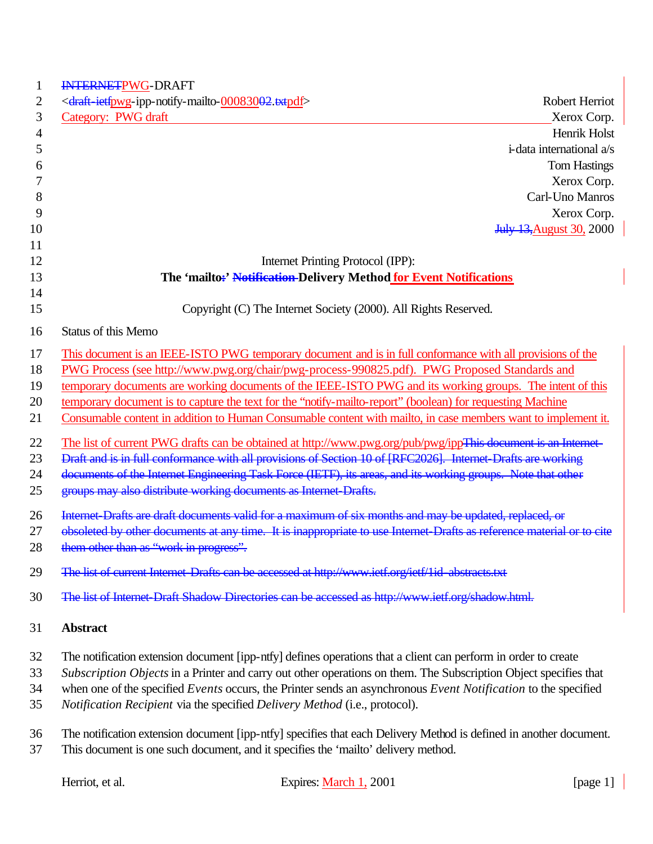| INTERNETPWG-DRAFT                                                                                                      |
|------------------------------------------------------------------------------------------------------------------------|
| <draft-ietfpwg-ipp-notify-mailto-00083002.txtpdf><br/>Robert Herriot</draft-ietfpwg-ipp-notify-mailto-00083002.txtpdf> |
| Category: PWG draft<br>Xerox Corp.                                                                                     |
| Henrik Holst                                                                                                           |
| i-data international a/s                                                                                               |
| <b>Tom Hastings</b>                                                                                                    |
| Xerox Corp.                                                                                                            |
| Carl-Uno Manros                                                                                                        |
| Xerox Corp.                                                                                                            |
| <b>July 13, August 30, 2000</b>                                                                                        |
|                                                                                                                        |
| Internet Printing Protocol (IPP):                                                                                      |
| The 'mailto:' Notification-Delivery Method for Event Notifications                                                     |
| Copyright (C) The Internet Society (2000). All Rights Reserved.                                                        |
| <b>Status of this Memo</b>                                                                                             |
|                                                                                                                        |
| This document is an IEEE-ISTO PWG temporary document and is in full conformance with all provisions of the             |
| PWG Process (see http://www.pwg.org/chair/pwg-process-990825.pdf). PWG Proposed Standards and                          |
| temporary documents are working documents of the IEEE-ISTO PWG and its working groups. The intent of this              |
| temporary document is to capture the text for the "notify-mailto-report" (boolean) for requesting Machine              |
| Consumable content in addition to Human Consumable content with mailto, in case members want to implement it.          |
| The list of current PWG drafts can be obtained at http://www.pwg.org/pub/pwg/ippThis-document is an Internet-          |
| Draft and is in full conformance with all provisions of Section 10 of [RFC2026]. Internet Drafts are working           |
| documents of the Internet Engineering Task Force (IETF), its areas, and its working groups. Note that other            |
| groups may also distribute working documents as Internet-Drafts.                                                       |
| Internet Drafts are draft documents valid for a maximum of six months and may be updated, replaced, or                 |
| obsoleted by other documents at any time. It is inappropriate to use Internet-Drafts as reference material or to cite  |
| them other than as "work in progress".                                                                                 |
| The list of current Internet Drafts can be accessed at http://www.ietf.org/ietf/1id-abstracts.txt                      |
|                                                                                                                        |
| The list of Internet-Draft Shadow Directories can be accessed as http://www.ietf.org/shadow.html.                      |
| <b>Abstract</b>                                                                                                        |
| The notification extension document [ipp-ntfy] defines operations that a client can perform in order to create         |
| Subscription Objects in a Printer and carry out other operations on them. The Subscription Object specifies that       |
| when one of the specified Events occurs, the Printer sends an asynchronous Event Notification to the specified         |
| Notification Recipient via the specified Delivery Method (i.e., protocol).                                             |
| The notification extension document [ipp-ntfy] specifies that each Delivery Method is defined in another document.     |
| This document is one such document, and it specifies the 'mailto' delivery method.                                     |
|                                                                                                                        |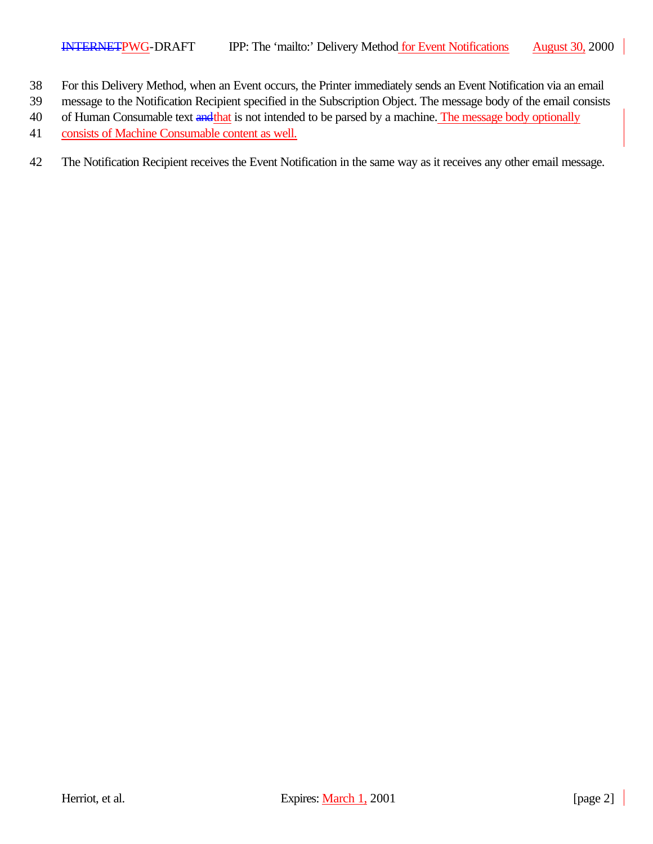- 38 For this Delivery Method, when an Event occurs, the Printer immediately sends an Event Notification via an email
- 39 message to the Notification Recipient specified in the Subscription Object. The message body of the email consists
- 40 of Human Consumable text and that is not intended to be parsed by a machine. The message body optionally
- 41 consists of Machine Consumable content as well.
- 42 The Notification Recipient receives the Event Notification in the same way as it receives any other email message.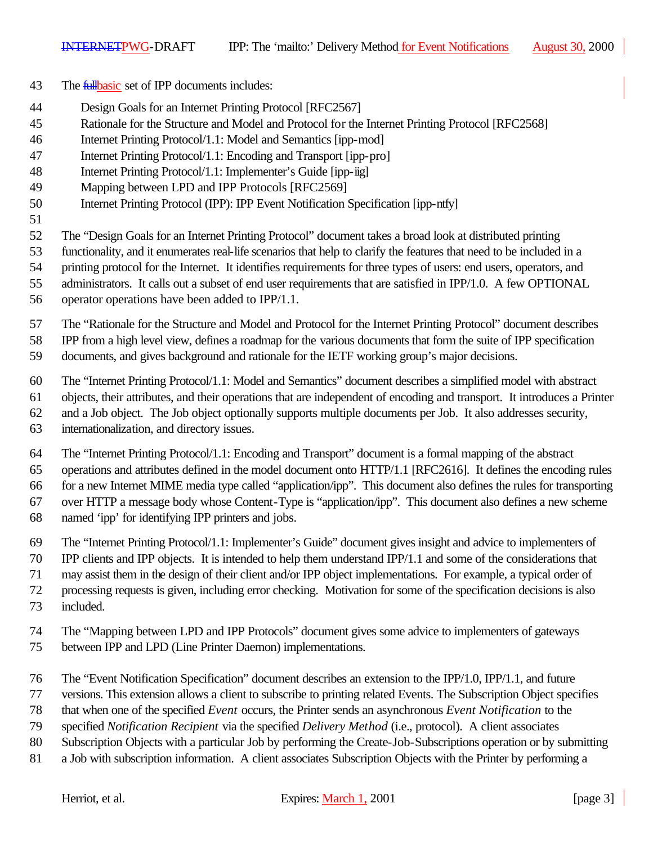- 43 The *fullbasic* set of IPP documents includes:
- Design Goals for an Internet Printing Protocol [RFC2567]
- Rationale for the Structure and Model and Protocol for the Internet Printing Protocol [RFC2568]
- Internet Printing Protocol/1.1: Model and Semantics [ipp-mod]
- Internet Printing Protocol/1.1: Encoding and Transport [ipp-pro]
- Internet Printing Protocol/1.1: Implementer's Guide [ipp-iig]
- Mapping between LPD and IPP Protocols [RFC2569]
- Internet Printing Protocol (IPP): IPP Event Notification Specification [ipp-ntfy]
- 

The "Design Goals for an Internet Printing Protocol" document takes a broad look at distributed printing

functionality, and it enumerates real-life scenarios that help to clarify the features that need to be included in a

- printing protocol for the Internet. It identifies requirements for three types of users: end users, operators, and
- administrators. It calls out a subset of end user requirements that are satisfied in IPP/1.0. A few OPTIONAL
- operator operations have been added to IPP/1.1.

The "Rationale for the Structure and Model and Protocol for the Internet Printing Protocol" document describes

IPP from a high level view, defines a roadmap for the various documents that form the suite of IPP specification

documents, and gives background and rationale for the IETF working group's major decisions.

The "Internet Printing Protocol/1.1: Model and Semantics" document describes a simplified model with abstract

objects, their attributes, and their operations that are independent of encoding and transport. It introduces a Printer

and a Job object. The Job object optionally supports multiple documents per Job. It also addresses security,

internationalization, and directory issues.

The "Internet Printing Protocol/1.1: Encoding and Transport" document is a formal mapping of the abstract

operations and attributes defined in the model document onto HTTP/1.1 [RFC2616]. It defines the encoding rules

 for a new Internet MIME media type called "application/ipp". This document also defines the rules for transporting over HTTP a message body whose Content-Type is "application/ipp". This document also defines a new scheme

- named 'ipp' for identifying IPP printers and jobs.
- The "Internet Printing Protocol/1.1: Implementer's Guide" document gives insight and advice to implementers of

IPP clients and IPP objects. It is intended to help them understand IPP/1.1 and some of the considerations that

may assist them in the design of their client and/or IPP object implementations. For example, a typical order of

- processing requests is given, including error checking. Motivation for some of the specification decisions is also
- included.
- The "Mapping between LPD and IPP Protocols" document gives some advice to implementers of gateways
- between IPP and LPD (Line Printer Daemon) implementations.
- The "Event Notification Specification" document describes an extension to the IPP/1.0, IPP/1.1, and future
- versions. This extension allows a client to subscribe to printing related Events. The Subscription Object specifies
- that when one of the specified *Event* occurs, the Printer sends an asynchronous *Event Notification* to the
- specified *Notification Recipient* via the specified *Delivery Method* (i.e., protocol). A client associates
- Subscription Objects with a particular Job by performing the Create-Job-Subscriptions operation or by submitting
- a Job with subscription information. A client associates Subscription Objects with the Printer by performing a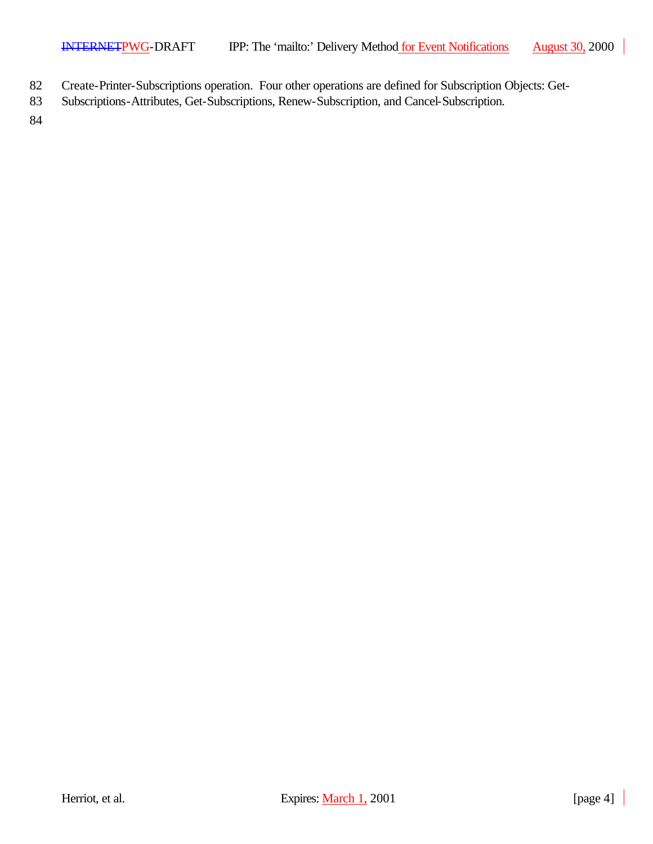- 82 Create-Printer-Subscriptions operation. Four other operations are defined for Subscription Objects: Get-
- 83 Subscriptions-Attributes, Get-Subscriptions, Renew-Subscription, and Cancel-Subscription.

84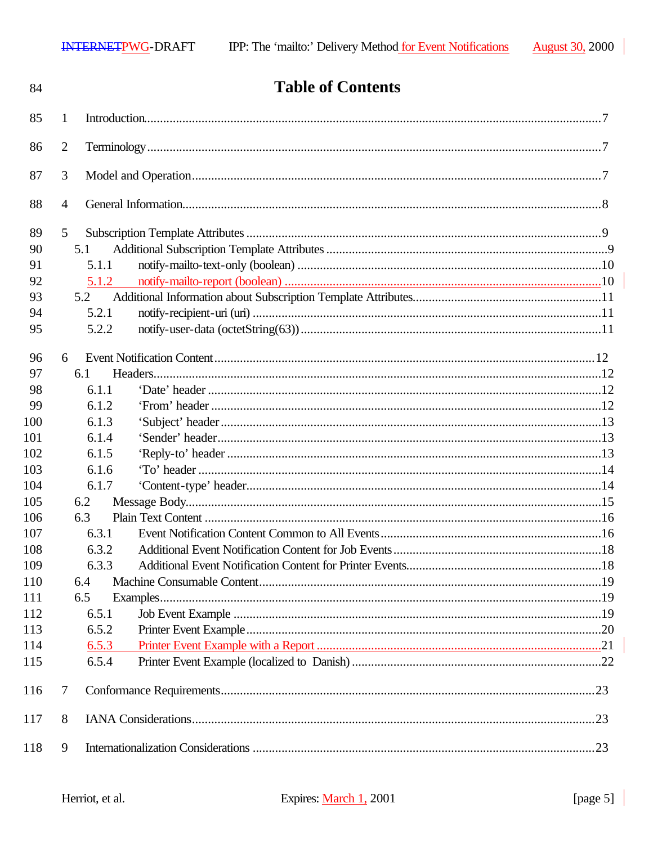| 84  |                 | <b>Table of Contents</b> |  |
|-----|-----------------|--------------------------|--|
| 85  | 1               |                          |  |
| 86  | $\overline{2}$  |                          |  |
| 87  | 3               |                          |  |
| 88  | $\overline{4}$  |                          |  |
| 89  | $5\overline{)}$ |                          |  |
| 90  | 5.1             |                          |  |
| 91  | 5.1.1           |                          |  |
| 92  | 5.1.2           |                          |  |
| 93  | 5.2             |                          |  |
| 94  | 5.2.1           |                          |  |
| 95  | 5.2.2           |                          |  |
| 96  | 6               |                          |  |
| 97  | 6.1             |                          |  |
| 98  | 6.1.1           |                          |  |
| 99  | 6.1.2           |                          |  |
| 100 | 6.1.3           |                          |  |
| 101 | 6.1.4           |                          |  |
| 102 | 6.1.5           |                          |  |
| 103 | 6.1.6           |                          |  |
| 104 | 6.1.7           |                          |  |
| 105 | 6.2             |                          |  |
| 106 | 6.3             |                          |  |
| 107 | 6.3.1           |                          |  |
| 108 | 6.3.2           |                          |  |
| 109 | 6.3.3           |                          |  |
| 110 | 6.4             |                          |  |
| 111 | 6.5             |                          |  |
| 112 | 6.5.1           |                          |  |
| 113 | 6.5.2           |                          |  |
| 114 | 6.5.3           |                          |  |
| 115 | 6.5.4           |                          |  |
| 116 | 7               |                          |  |
| 117 | 8               |                          |  |
| 118 | 9               |                          |  |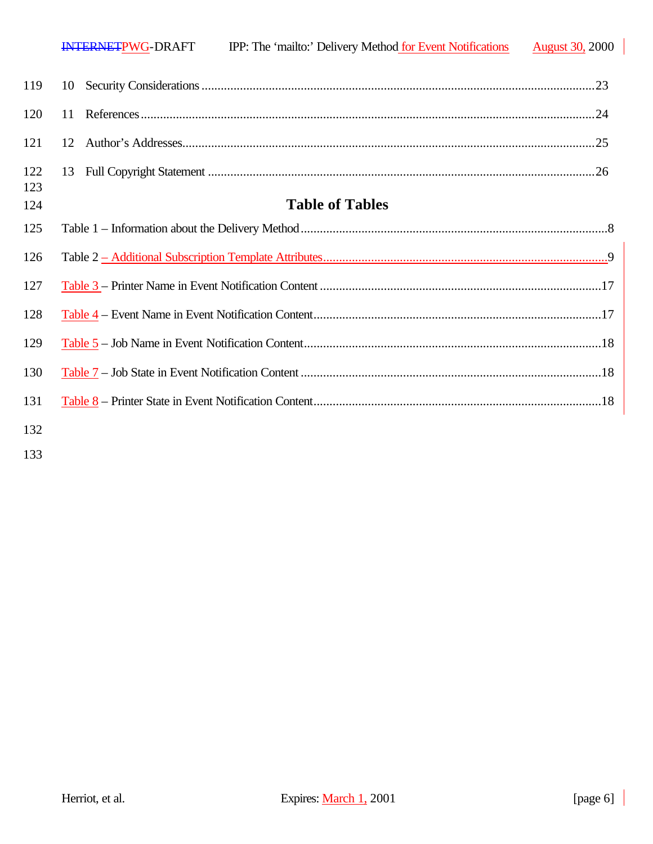| 123 |  |  |
|-----|--|--|

# **Table of Tables**

| 125 |  |
|-----|--|
| 126 |  |
| 127 |  |
| 128 |  |
| 129 |  |
| 130 |  |
| 131 |  |
|     |  |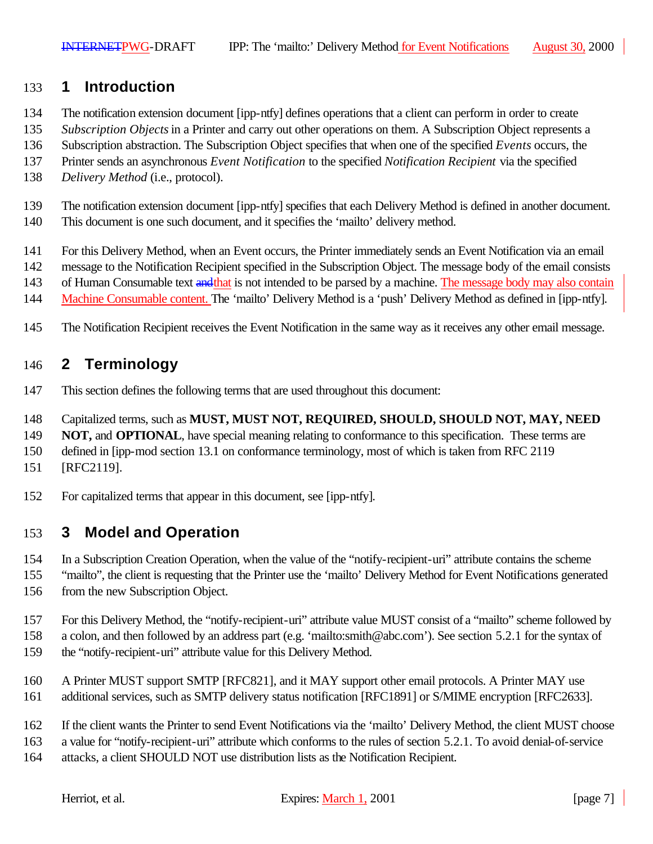# **1 Introduction**

- The notification extension document [ipp-ntfy] defines operations that a client can perform in order to create
- *Subscription Objects* in a Printer and carry out other operations on them. A Subscription Object represents a
- Subscription abstraction. The Subscription Object specifies that when one of the specified *Events* occurs, the
- Printer sends an asynchronous *Event Notification* to the specified *Notification Recipient* via the specified
- *Delivery Method* (i.e., protocol).
- The notification extension document [ipp-ntfy] specifies that each Delivery Method is defined in another document.
- This document is one such document, and it specifies the 'mailto' delivery method.
- For this Delivery Method, when an Event occurs, the Printer immediately sends an Event Notification via an email
- message to the Notification Recipient specified in the Subscription Object. The message body of the email consists
- 143 of Human Consumable text and that is not intended to be parsed by a machine. The message body may also contain
- Machine Consumable content. The 'mailto' Delivery Method is a 'push' Delivery Method as defined in [ipp-ntfy].
- The Notification Recipient receives the Event Notification in the same way as it receives any other email message.

# **2 Terminology**

- This section defines the following terms that are used throughout this document:
- Capitalized terms, such as **MUST, MUST NOT, REQUIRED, SHOULD, SHOULD NOT, MAY, NEED**
- **NOT, and OPTIONAL**, have special meaning relating to conformance to this specification. These terms are
- defined in [ipp-mod section 13.1 on conformance terminology, most of which is taken from RFC 2119
- [RFC2119].
- For capitalized terms that appear in this document, see [ipp-ntfy].

# **3 Model and Operation**

- In a Subscription Creation Operation, when the value of the "notify-recipient-uri" attribute contains the scheme
- "mailto", the client is requesting that the Printer use the 'mailto' Delivery Method for Event Notifications generated from the new Subscription Object.
- For this Delivery Method, the "notify-recipient-uri" attribute value MUST consist of a "mailto" scheme followed by
- a colon, and then followed by an address part (e.g. 'mailto:smith@abc.com'). See section 5.2.1 for the syntax of
- the "notify-recipient-uri" attribute value for this Delivery Method.
- A Printer MUST support SMTP [RFC821], and it MAY support other email protocols. A Printer MAY use
- additional services, such as SMTP delivery status notification [RFC1891] or S/MIME encryption [RFC2633].
- If the client wants the Printer to send Event Notifications via the 'mailto' Delivery Method, the client MUST choose
- a value for "notify-recipient-uri" attribute which conforms to the rules of section 5.2.1. To avoid denial-of-service
- attacks, a client SHOULD NOT use distribution lists as the Notification Recipient.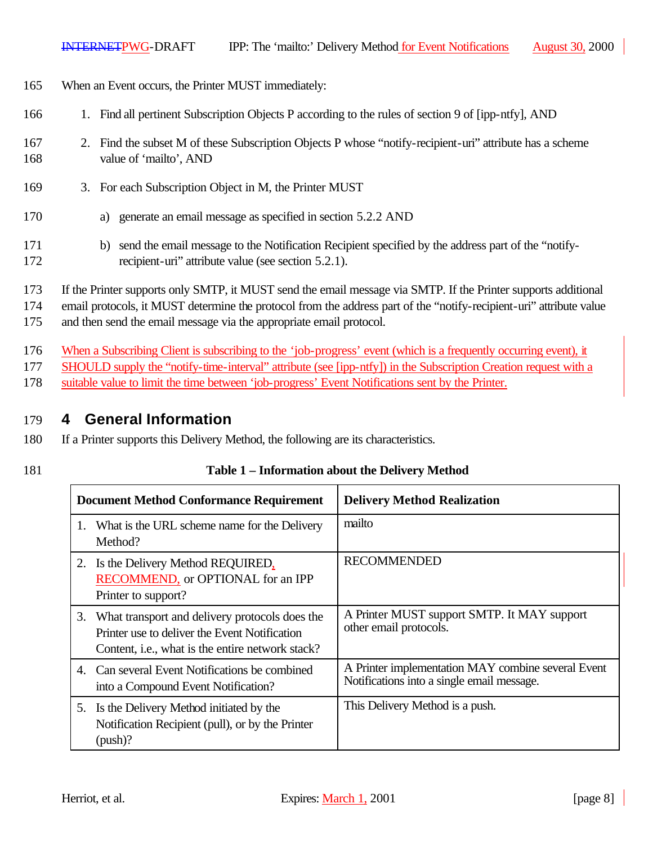- 165 When an Event occurs, the Printer MUST immediately:
- 166 1. Find all pertinent Subscription Objects P according to the rules of section 9 of [ipp-ntfy], AND
- 167 2. Find the subset M of these Subscription Objects P whose "notify-recipient-uri" attribute has a scheme 168 value of 'mailto', AND
- 169 3. For each Subscription Object in M, the Printer MUST
- 170 a) generate an email message as specified in section 5.2.2 AND
- 171 b) send the email message to the Notification Recipient specified by the address part of the "notify-172 recipient-uri" attribute value (see section 5.2.1).
- 173 If the Printer supports only SMTP, it MUST send the email message via SMTP. If the Printer supports additional
- 174 email protocols, it MUST determine the protocol from the address part of the "notify-recipient-uri" attribute value
- 175 and then send the email message via the appropriate email protocol.
- 176 When a Subscribing Client is subscribing to the 'job-progress' event (which is a frequently occurring event), it
- 177 SHOULD supply the "notify-time-interval" attribute (see [ipp-ntfy]) in the Subscription Creation request with a
- 178 suitable value to limit the time between 'job-progress' Event Notifications sent by the Printer.

#### 179 **4 General Information**

- 180 If a Printer supports this Delivery Method, the following are its characteristics.
- 

#### 181 **Table 1 – Information about the Delivery Method**

| <b>Document Method Conformance Requirement</b>                                                                                                                 | <b>Delivery Method Realization</b>                                                               |
|----------------------------------------------------------------------------------------------------------------------------------------------------------------|--------------------------------------------------------------------------------------------------|
| What is the URL scheme name for the Delivery<br>1.<br>Method?                                                                                                  | mailto                                                                                           |
| 2. Is the Delivery Method REQUIRED,<br>RECOMMEND, or OPTIONAL for an IPP<br>Printer to support?                                                                | <b>RECOMMENDED</b>                                                                               |
| 3. What transport and delivery protocols does the<br>Printer use to deliver the Event Notification<br>Content, <i>i.e.</i> , what is the entire network stack? | A Printer MUST support SMTP. It MAY support<br>other email protocols.                            |
| 4. Can several Event Notifications be combined<br>into a Compound Event Notification?                                                                          | A Printer implementation MAY combine several Event<br>Notifications into a single email message. |
| 5. Is the Delivery Method initiated by the<br>Notification Recipient (pull), or by the Printer<br>(push)?                                                      | This Delivery Method is a push.                                                                  |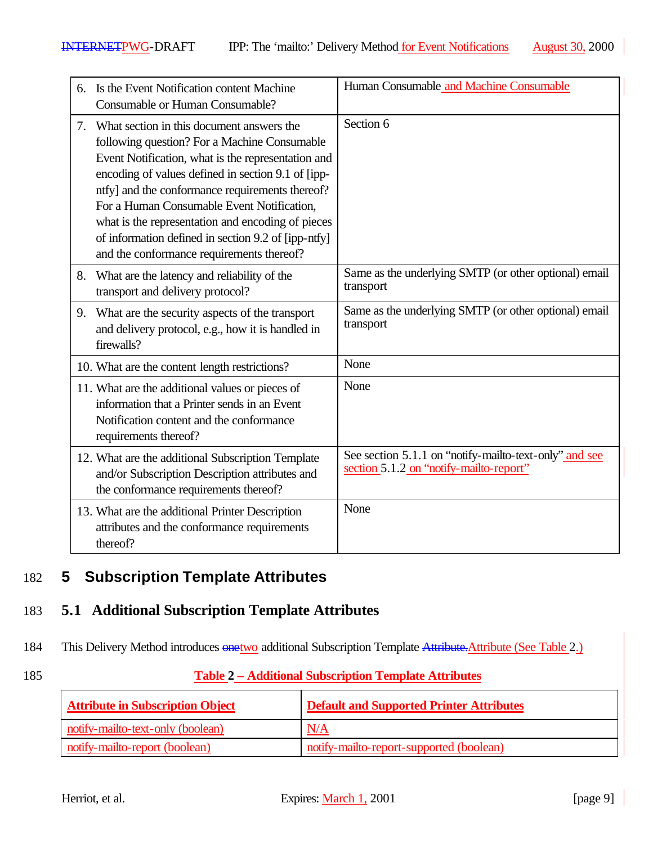| 6. | Is the Event Notification content Machine<br>Consumable or Human Consumable?                                                                                                                                                                                                                                                                                                                                                                                    | Human Consumable and Machine Consumable                                                           |
|----|-----------------------------------------------------------------------------------------------------------------------------------------------------------------------------------------------------------------------------------------------------------------------------------------------------------------------------------------------------------------------------------------------------------------------------------------------------------------|---------------------------------------------------------------------------------------------------|
| 7. | What section in this document answers the<br>following question? For a Machine Consumable<br>Event Notification, what is the representation and<br>encoding of values defined in section 9.1 of [ipp-<br>ntfy] and the conformance requirements thereof?<br>For a Human Consumable Event Notification,<br>what is the representation and encoding of pieces<br>of information defined in section 9.2 of [ipp-ntfy]<br>and the conformance requirements thereof? | Section 6                                                                                         |
| 8. | What are the latency and reliability of the<br>transport and delivery protocol?                                                                                                                                                                                                                                                                                                                                                                                 | Same as the underlying SMTP (or other optional) email<br>transport                                |
| 9. | What are the security aspects of the transport<br>and delivery protocol, e.g., how it is handled in<br>firewalls?                                                                                                                                                                                                                                                                                                                                               | Same as the underlying SMTP (or other optional) email<br>transport                                |
|    | 10. What are the content length restrictions?                                                                                                                                                                                                                                                                                                                                                                                                                   | None                                                                                              |
|    | 11. What are the additional values or pieces of<br>information that a Printer sends in an Event<br>Notification content and the conformance<br>requirements thereof?                                                                                                                                                                                                                                                                                            | None                                                                                              |
|    | 12. What are the additional Subscription Template<br>and/or Subscription Description attributes and<br>the conformance requirements thereof?                                                                                                                                                                                                                                                                                                                    | See section 5.1.1 on "notify-mailto-text-only" and see<br>section 5.1.2 on "notify-mailto-report" |
|    | 13. What are the additional Printer Description<br>attributes and the conformance requirements<br>thereof?                                                                                                                                                                                                                                                                                                                                                      | None                                                                                              |

# 182 **5 Subscription Template Attributes**

# 183 **5.1 Additional Subscription Template Attributes**

184 This Delivery Method introduces  $\frac{\text{one two}}{\text{additional Subscript completion}}$  Template Attribute. Attribute (See Table 2.)

### 185 **Table 2 – Additional Subscription Template Attributes**

| <b>Attribute in Subscription Object</b> | <b>Default and Supported Printer Attributes</b> |
|-----------------------------------------|-------------------------------------------------|
| notify-mailto-text-only (boolean)       | N/A                                             |
| notify-mailto-report (boolean)          | notify-mailto-report-supported (boolean)        |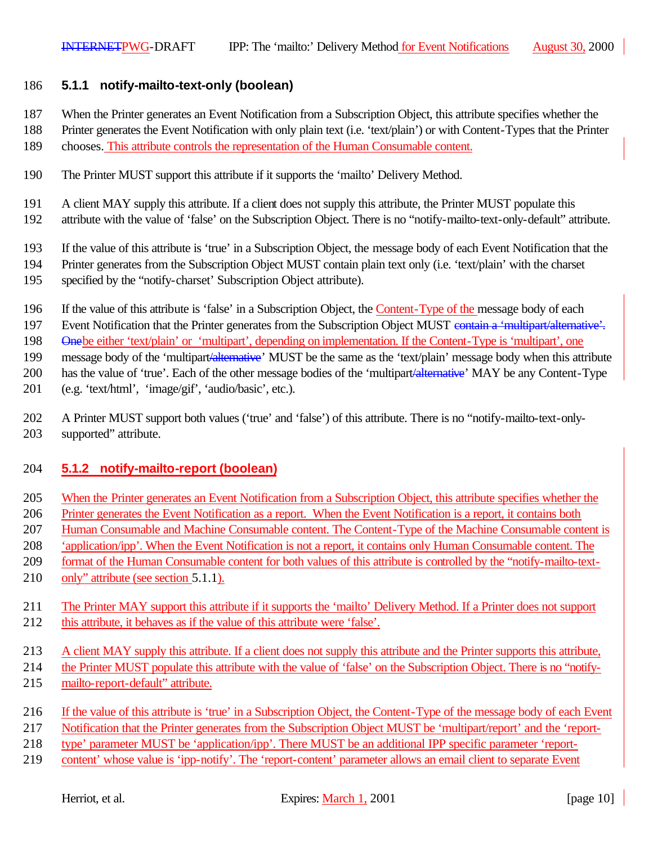#### **5.1.1 notify-mailto-text-only (boolean)**

- When the Printer generates an Event Notification from a Subscription Object, this attribute specifies whether the
- Printer generates the Event Notification with only plain text (i.e. 'text/plain') or with Content-Types that the Printer
- chooses. This attribute controls the representation of the Human Consumable content.
- The Printer MUST support this attribute if it supports the 'mailto' Delivery Method.
- A client MAY supply this attribute. If a client does not supply this attribute, the Printer MUST populate this
- attribute with the value of 'false' on the Subscription Object. There is no "notify-mailto-text-only-default" attribute.
- If the value of this attribute is 'true' in a Subscription Object, the message body of each Event Notification that the
- Printer generates from the Subscription Object MUST contain plain text only (i.e. 'text/plain' with the charset
- specified by the "notify-charset' Subscription Object attribute).
- If the value of this attribute is 'false' in a Subscription Object, the Content-Type of the message body of each
- 197 Event Notification that the Printer generates from the Subscription Object MUST contain a 'multipart/alternative'.
- Onebe either 'text/plain' or 'multipart', depending on implementation. If the Content-Type is 'multipart', one
- 199 message body of the 'multipart/alternative' MUST be the same as the 'text/plain' message body when this attribute
- 200 has the value of 'true'. Each of the other message bodies of the 'multipart<del>'alternative</del>' MAY be any Content-Type
- (e.g. 'text/html', 'image/gif', 'audio/basic', etc.).
- A Printer MUST support both values ('true' and 'false') of this attribute. There is no "notify-mailto-text-only-supported" attribute.

#### **5.1.2 notify-mailto-report (boolean)**

- When the Printer generates an Event Notification from a Subscription Object, this attribute specifies whether the
- Printer generates the Event Notification as a report. When the Event Notification is a report, it contains both
- Human Consumable and Machine Consumable content. The Content-Type of the Machine Consumable content is
- 'application/ipp'. When the Event Notification is not a report, it contains only Human Consumable content. The
- 209 format of the Human Consumable content for both values of this attribute is controlled by the "notify-mailto-text-
- 210 only" attribute (see section 5.1.1).
- The Printer MAY support this attribute if it supports the 'mailto' Delivery Method. If a Printer does not support this attribute, it behaves as if the value of this attribute were 'false'.
- A client MAY supply this attribute. If a client does not supply this attribute and the Printer supports this attribute,
- the Printer MUST populate this attribute with the value of 'false' on the Subscription Object. There is no "notify-
- mailto-report-default" attribute.
- If the value of this attribute is 'true' in a Subscription Object, the Content-Type of the message body of each Event
- Notification that the Printer generates from the Subscription Object MUST be 'multipart/report' and the 'report-
- type' parameter MUST be 'application/ipp'. There MUST be an additional IPP specific parameter 'report-
- content' whose value is 'ipp-notify'. The 'report-content' parameter allows an email client to separate Event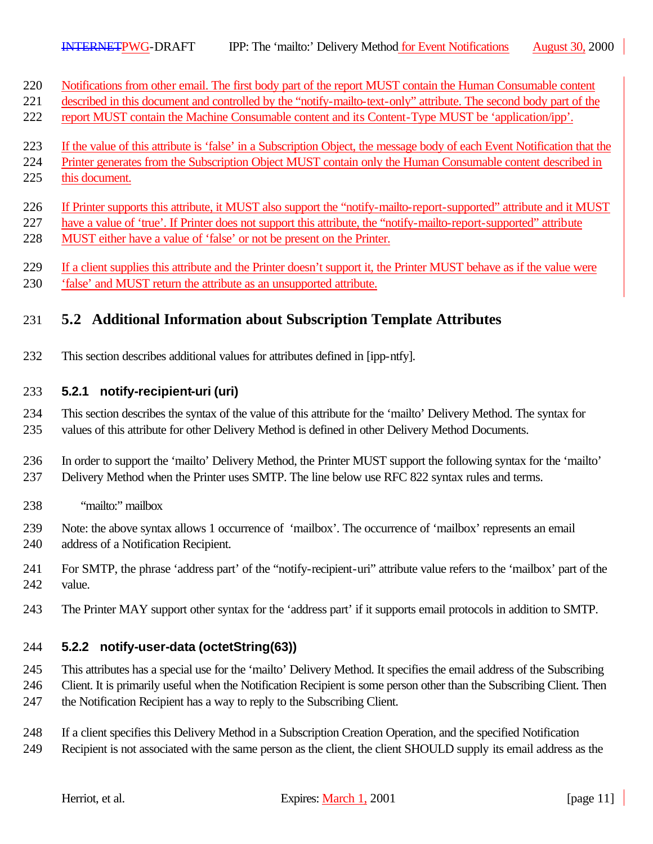Notifications from other email. The first body part of the report MUST contain the Human Consumable content

- described in this document and controlled by the "notify-mailto-text-only" attribute. The second body part of the
- report MUST contain the Machine Consumable content and its Content-Type MUST be 'application/ipp'.
- If the value of this attribute is 'false' in a Subscription Object, the message body of each Event Notification that the
- Printer generates from the Subscription Object MUST contain only the Human Consumable content described in
- this document.
- If Printer supports this attribute, it MUST also support the "notify-mailto-report-supported" attribute and it MUST
- 227 have a value of 'true'. If Printer does not support this attribute, the "notify-mailto-report-supported" attribute
- MUST either have a value of 'false' or not be present on the Printer.
- If a client supplies this attribute and the Printer doesn't support it, the Printer MUST behave as if the value were
- 'false' and MUST return the attribute as an unsupported attribute.

# **5.2 Additional Information about Subscription Template Attributes**

This section describes additional values for attributes defined in [ipp-ntfy].

### **5.2.1 notify-recipient-uri (uri)**

 This section describes the syntax of the value of this attribute for the 'mailto' Delivery Method. The syntax for values of this attribute for other Delivery Method is defined in other Delivery Method Documents.

 In order to support the 'mailto' Delivery Method, the Printer MUST support the following syntax for the 'mailto' Delivery Method when the Printer uses SMTP. The line below use RFC 822 syntax rules and terms.

- "mailto:" mailbox
- Note: the above syntax allows 1 occurrence of 'mailbox'. The occurrence of 'mailbox' represents an email address of a Notification Recipient.
- For SMTP, the phrase 'address part' of the "notify-recipient-uri" attribute value refers to the 'mailbox' part of the value.
- The Printer MAY support other syntax for the 'address part' if it supports email protocols in addition to SMTP.

### **5.2.2 notify-user-data (octetString(63))**

This attributes has a special use for the 'mailto' Delivery Method. It specifies the email address of the Subscribing

- Client. It is primarily useful when the Notification Recipient is some person other than the Subscribing Client. Then
- the Notification Recipient has a way to reply to the Subscribing Client.
- If a client specifies this Delivery Method in a Subscription Creation Operation, and the specified Notification
- Recipient is not associated with the same person as the client, the client SHOULD supply its email address as the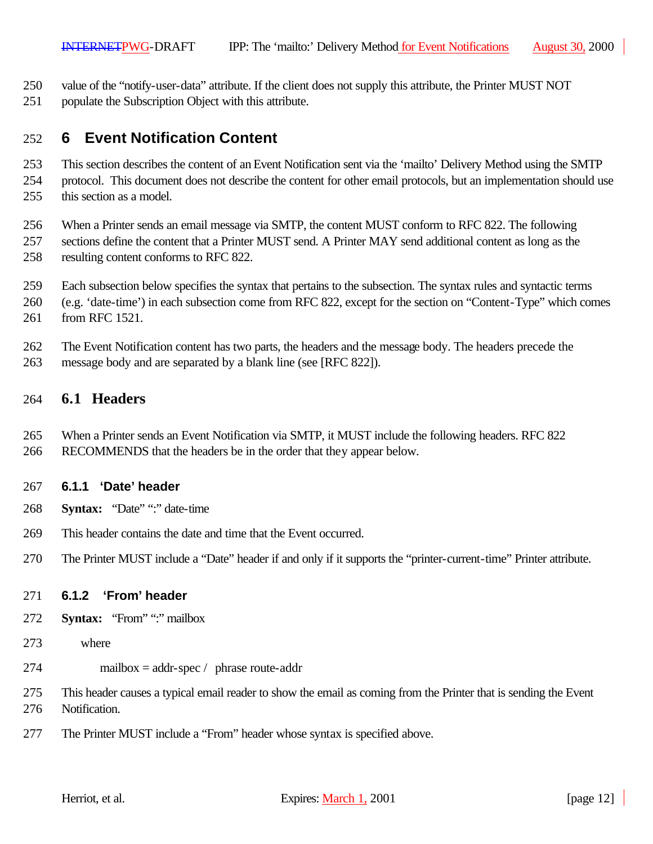- value of the "notify-user-data" attribute. If the client does not supply this attribute, the Printer MUST NOT
- populate the Subscription Object with this attribute.

# **6 Event Notification Content**

 This section describes the content of an Event Notification sent via the 'mailto' Delivery Method using the SMTP protocol. This document does not describe the content for other email protocols, but an implementation should use

this section as a model.

When a Printer sends an email message via SMTP, the content MUST conform to RFC 822. The following

- sections define the content that a Printer MUST send. A Printer MAY send additional content as long as the resulting content conforms to RFC 822.
- Each subsection below specifies the syntax that pertains to the subsection. The syntax rules and syntactic terms
- (e.g. 'date-time') in each subsection come from RFC 822, except for the section on "Content-Type" which comes from RFC 1521.
- The Event Notification content has two parts, the headers and the message body. The headers precede the
- message body and are separated by a blank line (see [RFC 822]).

#### **6.1 Headers**

 When a Printer sends an Event Notification via SMTP, it MUST include the following headers. RFC 822 RECOMMENDS that the headers be in the order that they appear below.

#### **6.1.1 'Date' header**

- **Syntax:** "Date" ":" date-time
- This header contains the date and time that the Event occurred.
- The Printer MUST include a "Date" header if and only if it supports the "printer-current-time" Printer attribute.

#### **6.1.2 'From' header**

- **Syntax:** "From" ":" mailbox
- where
- mailbox = addr-spec / phrase route-addr
- This header causes a typical email reader to show the email as coming from the Printer that is sending the Event Notification.
- The Printer MUST include a "From" header whose syntax is specified above.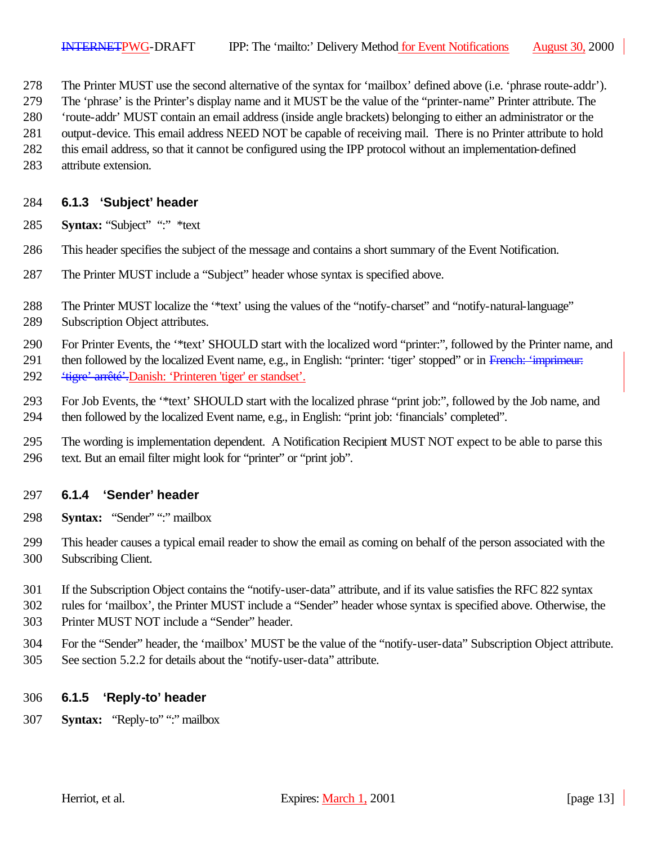- The Printer MUST use the second alternative of the syntax for 'mailbox' defined above (i.e. 'phrase route-addr').
- The 'phrase' is the Printer's display name and it MUST be the value of the "printer-name" Printer attribute. The
- 'route-addr' MUST contain an email address (inside angle brackets) belonging to either an administrator or the
- output-device. This email address NEED NOT be capable of receiving mail. There is no Printer attribute to hold
- this email address, so that it cannot be configured using the IPP protocol without an implementation-defined
- attribute extension.

#### **6.1.3 'Subject' header**

- **Syntax:** "Subject" ":" \*text
- This header specifies the subject of the message and contains a short summary of the Event Notification.
- The Printer MUST include a "Subject" header whose syntax is specified above.
- The Printer MUST localize the '\*text' using the values of the "notify-charset" and "notify-natural-language" Subscription Object attributes.
- For Printer Events, the '\*text' SHOULD start with the localized word "printer:", followed by the Printer name, and
- 291 then followed by the localized Event name, e.g., in English: "printer: 'tiger' stopped" or in French: 'imprimeur: 'tigre' arrêté'.Danish: 'Printeren 'tiger' er standset'.
- For Job Events, the '\*text' SHOULD start with the localized phrase "print job:", followed by the Job name, and then followed by the localized Event name, e.g., in English: "print job: 'financials' completed".
- The wording is implementation dependent. A Notification Recipient MUST NOT expect to be able to parse this text. But an email filter might look for "printer" or "print job".

#### **6.1.4 'Sender' header**

- **Syntax:** "Sender" ":" mailbox
- This header causes a typical email reader to show the email as coming on behalf of the person associated with the Subscribing Client.
- If the Subscription Object contains the "notify-user-data" attribute, and if its value satisfies the RFC 822 syntax
- rules for 'mailbox', the Printer MUST include a "Sender" header whose syntax is specified above. Otherwise, the
- Printer MUST NOT include a "Sender" header.
- For the "Sender" header, the 'mailbox' MUST be the value of the "notify-user-data" Subscription Object attribute. See section 5.2.2 for details about the "notify-user-data" attribute.

#### **6.1.5 'Reply-to' header**

**Syntax:** "Reply-to" ":" mailbox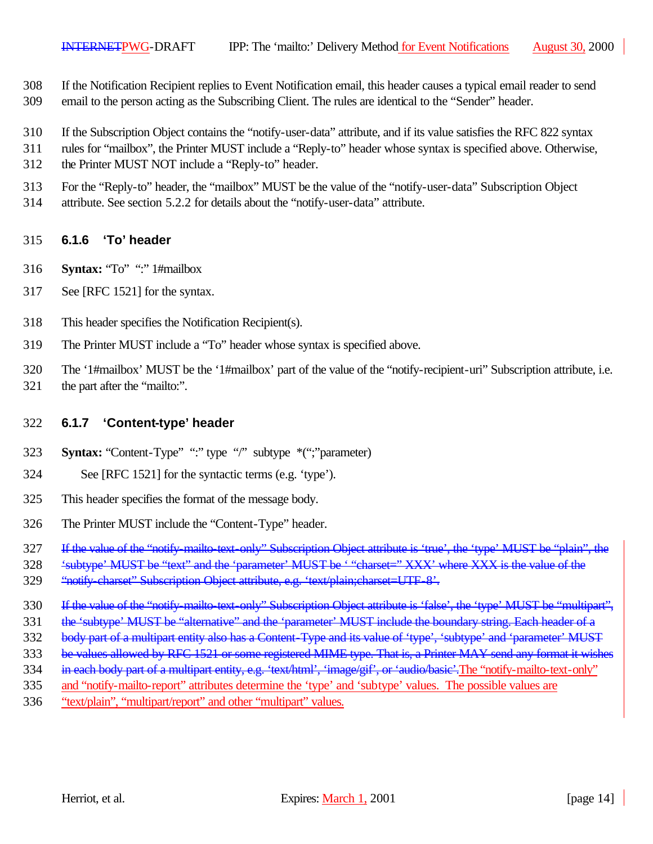- If the Notification Recipient replies to Event Notification email, this header causes a typical email reader to send
- email to the person acting as the Subscribing Client. The rules are identical to the "Sender" header.
- If the Subscription Object contains the "notify-user-data" attribute, and if its value satisfies the RFC 822 syntax
- rules for "mailbox", the Printer MUST include a "Reply-to" header whose syntax is specified above. Otherwise,
- the Printer MUST NOT include a "Reply-to" header.
- For the "Reply-to" header, the "mailbox" MUST be the value of the "notify-user-data" Subscription Object
- attribute. See section 5.2.2 for details about the "notify-user-data" attribute.

#### **6.1.6 'To' header**

- **Syntax:** "To" ":" 1#mailbox
- See [RFC 1521] for the syntax.
- This header specifies the Notification Recipient(s).
- The Printer MUST include a "To" header whose syntax is specified above.
- The '1#mailbox' MUST be the '1#mailbox' part of the value of the "notify-recipient-uri" Subscription attribute, i.e.
- 321 the part after the "mailto:".

#### **6.1.7 'Content-type' header**

- **Syntax:** "Content-Type" ":" type "/" subtype \*(";"parameter)
- See [RFC 1521] for the syntactic terms (e.g. 'type').
- This header specifies the format of the message body.
- The Printer MUST include the "Content-Type" header.
- 327 If the value of the "notify-mailto-text-only" Subscription Object attribute is 'true', the 'type' MUST be "plain", the
- 'subtype' MUST be "text" and the 'parameter' MUST be ' "charset=" XXX' where XXX is the value of the
- 329 "notify-charset" Subscription Object attribute, e.g. 'text/plain;charset=UTF-8'.
- 330 If the value of the "notify-mailto-text-only" Subscription Object attribute is 'false', the 'type' MUST be "multipart",
- 331 the 'subtype' MUST be "alternative" and the 'parameter' MUST include the boundary string. Each header of a
- 332 body part of a multipart entity also has a Content-Type and its value of 'type', 'subtype' and 'parameter' MUST
- 333 be values allowed by RFC 1521 or some registered MIME type. That is, a Printer MAY send any format it wishes
- 334 in each body part of a multipart entity, e.g. 'text/html', 'image/gif', or 'audio/basic'. The "notify-mailto-text-only"
- and "notify-mailto-report" attributes determine the 'type' and 'subtype' values. The possible values are
- "text/plain", "multipart/report" and other "multipart" values.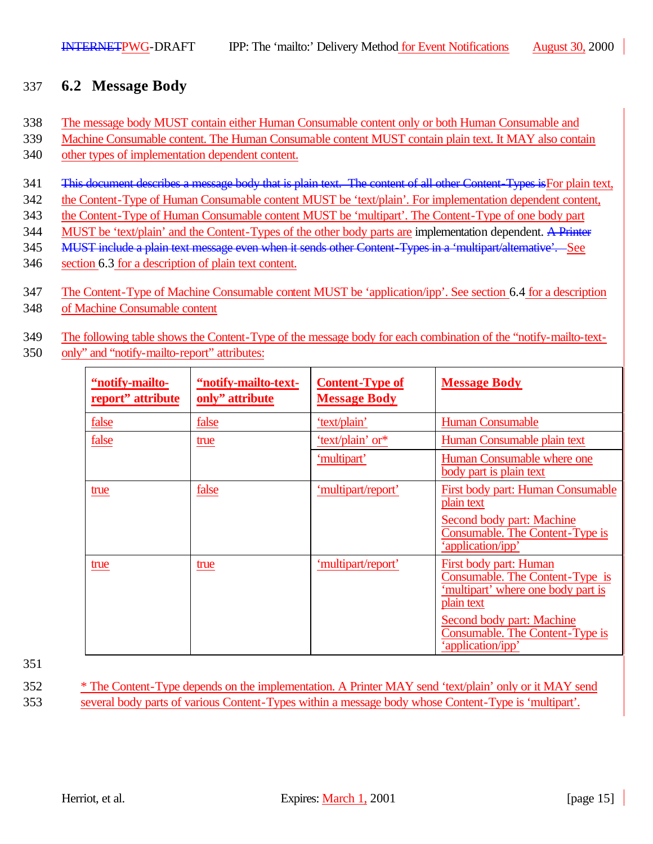# 337 **6.2 Message Body**

- 338 The message body MUST contain either Human Consumable content only or both Human Consumable and
- 339 Machine Consumable content. The Human Consumable content MUST contain plain text. It MAY also contain
- 340 other types of implementation dependent content.
- 341 This document describes a message body that is plain text. The content of all other Content-Types is For plain text,
- 342 the Content-Type of Human Consumable content MUST be 'text/plain'. For implementation dependent content,
- 343 the Content-Type of Human Consumable content MUST be 'multipart'. The Content-Type of one body part
- 344 MUST be 'text/plain' and the Content-Types of the other body parts are implementation dependent. A Printer
- 345 MUST include a plain text message even when it sends other Content-Types in a 'multipart/alternative'. See
- 346 section 6.3 for a description of plain text content.
- 347 The Content-Type of Machine Consumable content MUST be 'application/ipp'. See section 6.4 for a description
- 348 of Machine Consumable content
- 349 The following table shows the Content-Type of the message body for each combination of the "notify-mailto-text-
- 350 only" and "notify-mailto-report" attributes:

| "notify-mailto-<br>report" attribute | "notify-mailto-text-<br>only" attribute | <b>Content-Type of</b><br><b>Message Body</b> | <b>Message Body</b>                                                                                           |
|--------------------------------------|-----------------------------------------|-----------------------------------------------|---------------------------------------------------------------------------------------------------------------|
| false                                | false                                   | 'text/plain'                                  | <b>Human Consumable</b>                                                                                       |
| false                                | true                                    | 'text/plain' or*                              | Human Consumable plain text                                                                                   |
|                                      |                                         | 'multipart'                                   | Human Consumable where one<br>body part is plain text                                                         |
| true                                 | false                                   | 'multipart/report'                            | First body part: Human Consumable<br>plain text                                                               |
|                                      |                                         |                                               | Second body part: Machine<br>Consumable. The Content-Type is<br>'application/ipp'                             |
| true                                 | true                                    | 'multipart/report'                            | First body part: Human<br>Consumable. The Content-Type is<br>'multipart' where one body part is<br>plain text |
|                                      |                                         |                                               | Second body part: Machine<br>Consumable. The Content-Type is<br>'application/ipp'                             |

351

352 \* The Content-Type depends on the implementation. A Printer MAY send 'text/plain' only or it MAY send 353 several body parts of various Content-Types within a message body whose Content-Type is 'multipart'.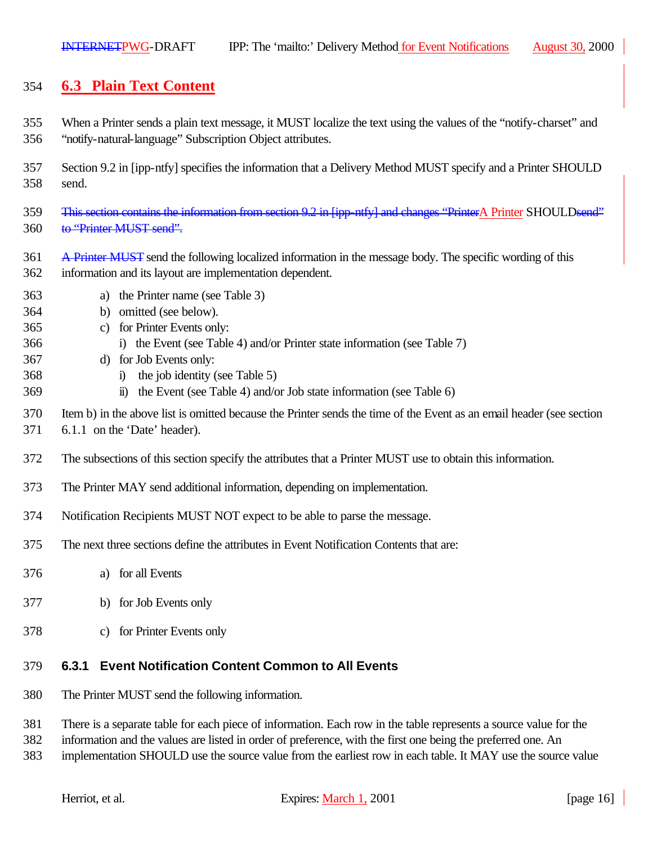# **6.3 Plain Text Content**

- When a Printer sends a plain text message, it MUST localize the text using the values of the "notify-charset" and "notify-natural-language" Subscription Object attributes.
- Section 9.2 in [ipp-ntfy] specifies the information that a Delivery Method MUST specify and a Printer SHOULD send.
- 359 This section contains the information from section 9.2 in [ipp-ntfy] and changes "PrinterA Printer SHOULDsend" 360 to "Printer MUST send".
- A Printer MUST send the following localized information in the message body. The specific wording of this information and its layout are implementation dependent.
- a) the Printer name (see Table 3)
- b) omitted (see below).
- c) for Printer Events only:
- i) the Event (see Table 4) and/or Printer state information (see Table 7)
- d) for Job Events only:
- i) the job identity (see Table 5)
- ii) the Event (see Table 4) and/or Job state information (see Table 6)
- Item b) in the above list is omitted because the Printer sends the time of the Event as an email header (see section
- 6.1.1 on the 'Date' header).
- The subsections of this section specify the attributes that a Printer MUST use to obtain this information.
- The Printer MAY send additional information, depending on implementation.
- Notification Recipients MUST NOT expect to be able to parse the message.
- The next three sections define the attributes in Event Notification Contents that are:
- a) for all Events
- b) for Job Events only
- c) for Printer Events only

#### **6.3.1 Event Notification Content Common to All Events**

- The Printer MUST send the following information.
- There is a separate table for each piece of information. Each row in the table represents a source value for the
- information and the values are listed in order of preference, with the first one being the preferred one. An
- implementation SHOULD use the source value from the earliest row in each table. It MAY use the source value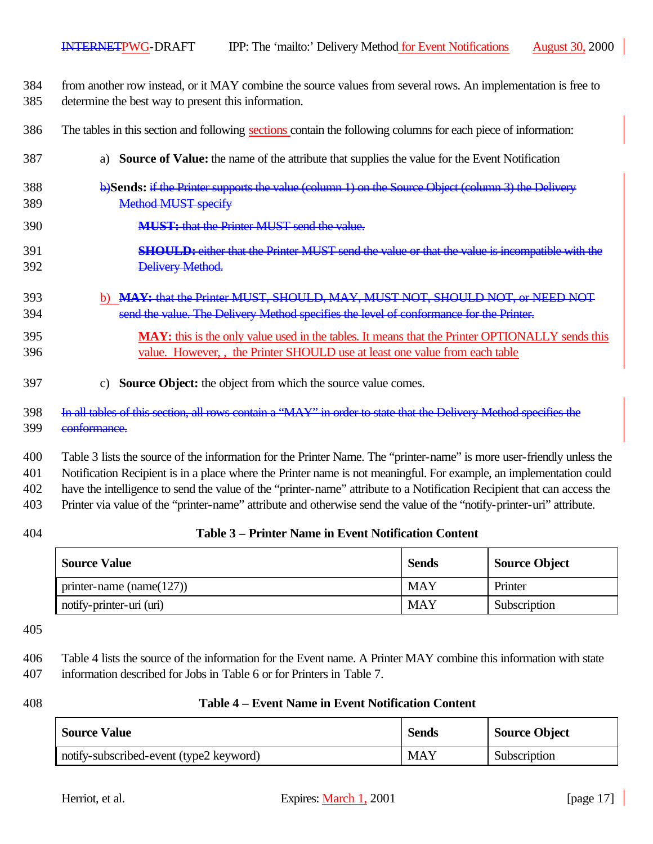from another row instead, or it MAY combine the source values from several rows. An implementation is free to determine the best way to present this information.

The tables in this section and following sections contain the following columns for each piece of information:

- a) **Source of Value:** the name of the attribute that supplies the value for the Event Notification
- b)**Sends:** if the Printer supports the value (column 1) on the Source Object (column 3) the Delivery Method MUST specify
- **MUST:** that the Printer MUST send the value.
- **SHOULD:** either that the Printer MUST send the value or that the value is incompatible with the Delivery Method.
- b) **MAY:** that the Printer MUST, SHOULD, MAY, MUST NOT, SHOULD NOT, or NEED NOT send the value. The Delivery Method specifies the level of conformance for the Printer.
- **MAY:** this is the only value used in the tables. It means that the Printer OPTIONALLY sends this value. However, , the Printer SHOULD use at least one value from each table
- c) **Source Object:** the object from which the source value comes.
- In all tables of this section, all rows contain a "MAY" in order to state that the Delivery Method specifies the conformance.

 Table 3 lists the source of the information for the Printer Name. The "printer-name" is more user-friendly unless the Notification Recipient is in a place where the Printer name is not meaningful. For example, an implementation could have the intelligence to send the value of the "printer-name" attribute to a Notification Recipient that can access the

Printer via value of the "printer-name" attribute and otherwise send the value of the "notify-printer-uri" attribute.

#### **Table 3 – Printer Name in Event Notification Content**

| <b>Source Value</b>          | <b>Sends</b> | <b>Source Object</b> |
|------------------------------|--------------|----------------------|
| printer-name (name( $127$ )) | <b>MAY</b>   | Printer              |
| notify-printer-uri (uri)     | <b>MAY</b>   | Subscription         |

- Table 4 lists the source of the information for the Event name. A Printer MAY combine this information with state information described for Jobs in Table 6 or for Printers in Table 7.
- 

#### **Table 4 – Event Name in Event Notification Content**

| <b>Source Value</b>                     | <b>Sends</b> | <b>Source Object</b> |
|-----------------------------------------|--------------|----------------------|
| notify-subscribed-event (type2 keyword) | <b>MAY</b>   | Subscription         |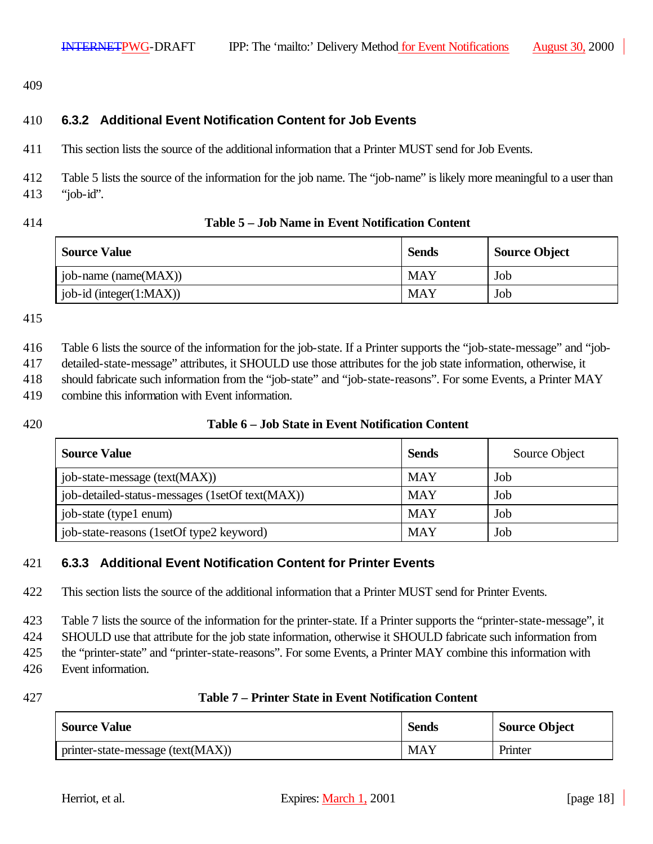409

#### 410 **6.3.2 Additional Event Notification Content for Job Events**

411 This section lists the source of the additional information that a Printer MUST send for Job Events.

412 Table 5 lists the source of the information for the job name. The "job-name" is likely more meaningful to a user than 413 "job-id".

#### 414 **Table 5 – Job Name in Event Notification Content**

| <b>Source Value</b>         | <b>Sends</b> | <b>Source Object</b> |
|-----------------------------|--------------|----------------------|
| job-name (name(MAX))        | <b>MAY</b>   | Job                  |
| job-id (integer $(1:MAX)$ ) | <b>MAY</b>   | Job                  |

#### 415

416 Table 6 lists the source of the information for the job-state. If a Printer supports the "job-state-message" and "job-

417 detailed-state-message" attributes, it SHOULD use those attributes for the job state information, otherwise, it

418 should fabricate such information from the "job-state" and "job-state-reasons". For some Events, a Printer MAY

419 combine this information with Event information.

#### 420 **Table 6 – Job State in Event Notification Content**

| <b>Source Value</b>                             | <b>Sends</b> | Source Object |
|-------------------------------------------------|--------------|---------------|
| job-state-message (text(MAX))                   | <b>MAY</b>   | Job           |
| job-detailed-status-messages (1setOf text(MAX)) | <b>MAY</b>   | Job           |
| job-state (type1 enum)                          | <b>MAY</b>   | Job           |
| job-state-reasons (1setOf type2 keyword)        | <b>MAY</b>   | Job           |

#### 421 **6.3.3 Additional Event Notification Content for Printer Events**

422 This section lists the source of the additional information that a Printer MUST send for Printer Events.

423 Table 7 lists the source of the information for the printer-state. If a Printer supports the "printer-state-message", it

424 SHOULD use that attribute for the job state information, otherwise it SHOULD fabricate such information from

425 the "printer-state" and "printer-state-reasons". For some Events, a Printer MAY combine this information with

426 Event information.

#### 427 **Table 7 – Printer State in Event Notification Content**

| <b>Source Value</b>                   | <b>Sends</b> | <b>Source Object</b> |
|---------------------------------------|--------------|----------------------|
| I printer-state-message $(text(MAX))$ | <b>MAY</b>   | Printer              |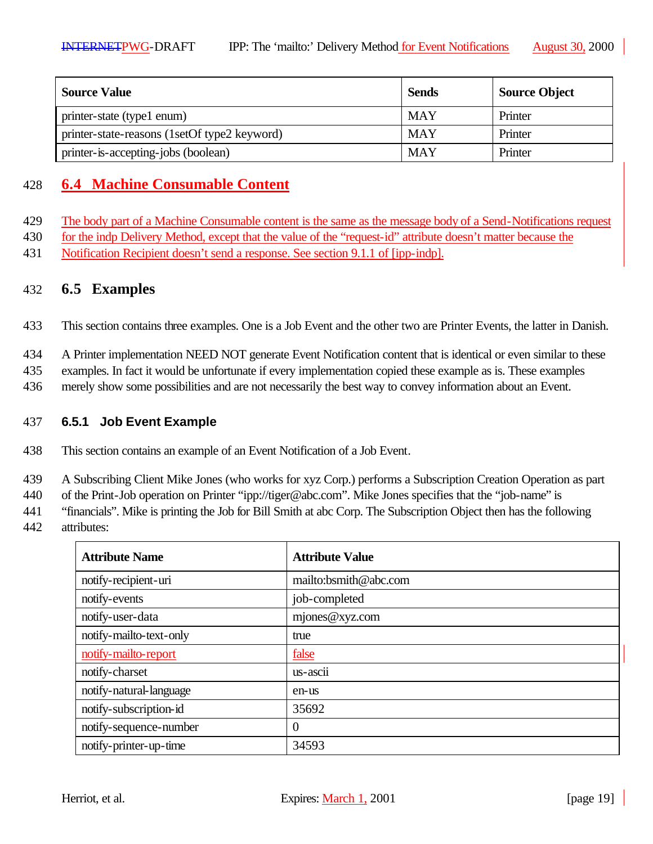| <b>Source Value</b>                          | <b>Sends</b> | <b>Source Object</b> |
|----------------------------------------------|--------------|----------------------|
| printer-state (type1 enum)                   | <b>MAY</b>   | Printer              |
| printer-state-reasons (1setOf type2 keyword) | <b>MAY</b>   | Printer              |
| printer-is-accepting-jobs (boolean)          | <b>MAY</b>   | Printer              |

# 428 **6.4 Machine Consumable Content**

- 429 The body part of a Machine Consumable content is the same as the message body of a Send-Notifications request
- 430 for the indp Delivery Method, except that the value of the "request-id" attribute doesn't matter because the
- 431 Notification Recipient doesn't send a response. See section 9.1.1 of [ipp-indp].

### 432 **6.5 Examples**

433 This section contains three examples. One is a Job Event and the other two are Printer Events, the latter in Danish.

434 A Printer implementation NEED NOT generate Event Notification content that is identical or even similar to these

435 examples. In fact it would be unfortunate if every implementation copied these example as is. These examples

436 merely show some possibilities and are not necessarily the best way to convey information about an Event.

#### 437 **6.5.1 Job Event Example**

438 This section contains an example of an Event Notification of a Job Event.

439 A Subscribing Client Mike Jones (who works for xyz Corp.) performs a Subscription Creation Operation as part

440 of the Print-Job operation on Printer "ipp://tiger@abc.com". Mike Jones specifies that the "job-name" is

441 "financials". Mike is printing the Job for Bill Smith at abc Corp. The Subscription Object then has the following

442 attributes:

| <b>Attribute Name</b>   | <b>Attribute Value</b> |
|-------------------------|------------------------|
| notify-recipient-uri    | mailto:bsmith@abc.com  |
| notify-events           | job-completed          |
| notify-user-data        | mjones@xyz.com         |
| notify-mailto-text-only | true                   |
| notify-mailto-report    | false                  |
| notify-charset          | $us - accii$           |
| notify-natural-language | en-us                  |
| notify-subscription-id  | 35692                  |
| notify-sequence-number  | $\overline{0}$         |
| notify-printer-up-time  | 34593                  |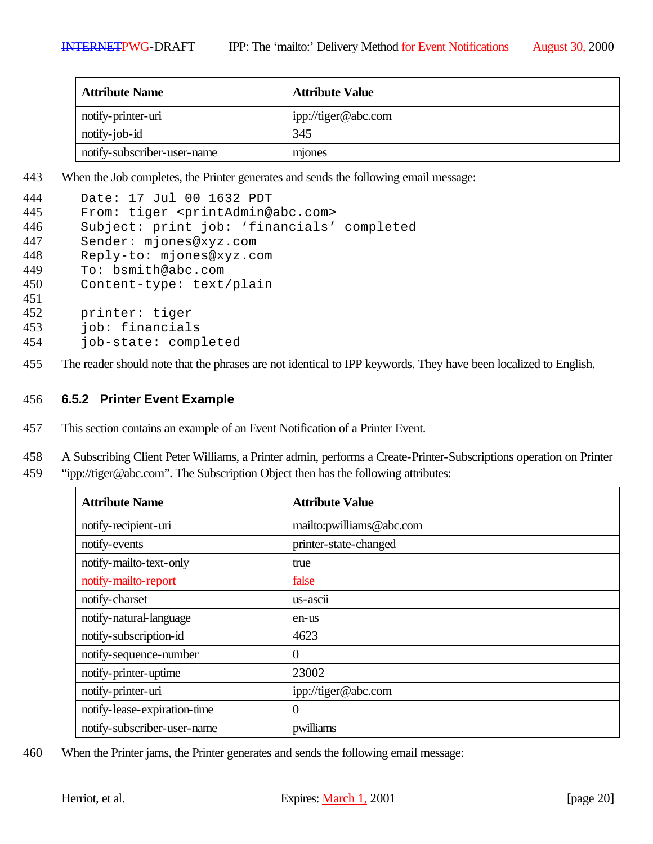| <b>Attribute Name</b>       | <b>Attribute Value</b> |
|-----------------------------|------------------------|
| notify-printer-uri          | ipp://tiger@abc.com    |
| notify-job-id               | 345                    |
| notify-subscriber-user-name | mones                  |

443 When the Job completes, the Printer generates and sends the following email message:

| 444 | Date: 17 Jul 00 1632 PDT                              |
|-----|-------------------------------------------------------|
| 445 | From: tiger <printadmin@abc.com></printadmin@abc.com> |
| 446 | Subject: print job: 'financials' completed            |
| 447 | Sender: mjones@xyz.com                                |
| 448 | Reply-to: mjones@xyz.com                              |
| 449 | To: bsmith@abc.com                                    |
| 450 | Content-type: text/plain                              |
| 451 |                                                       |
| 452 | printer: tiger                                        |
| 453 | job: financials                                       |
| 454 | job-state: completed                                  |

455 The reader should note that the phrases are not identical to IPP keywords. They have been localized to English.

#### 456 **6.5.2 Printer Event Example**

- 457 This section contains an example of an Event Notification of a Printer Event.
- 458 A Subscribing Client Peter Williams, a Printer admin, performs a Create-Printer-Subscriptions operation on Printer 459 "ipp://tiger@abc.com". The Subscription Object then has the following attributes:

| <b>Attribute Name</b>        | <b>Attribute Value</b>   |
|------------------------------|--------------------------|
| notify-recipient-uri         | mailto:pwilliams@abc.com |
| notify-events                | printer-state-changed    |
| notify-mailto-text-only      | true                     |
| notify-mailto-report         | false                    |
| notify-charset               | us-ascii                 |
| notify-natural-language      | en-us                    |
| notify-subscription-id       | 4623                     |
| notify-sequence-number       | $\overline{0}$           |
| notify-printer-uptime        | 23002                    |
| notify-printer-uri           | ipp://tiger@abc.com      |
| notify-lease-expiration-time | $\overline{0}$           |
| notify-subscriber-user-name  | pwilliams                |

460 When the Printer jams, the Printer generates and sends the following email message: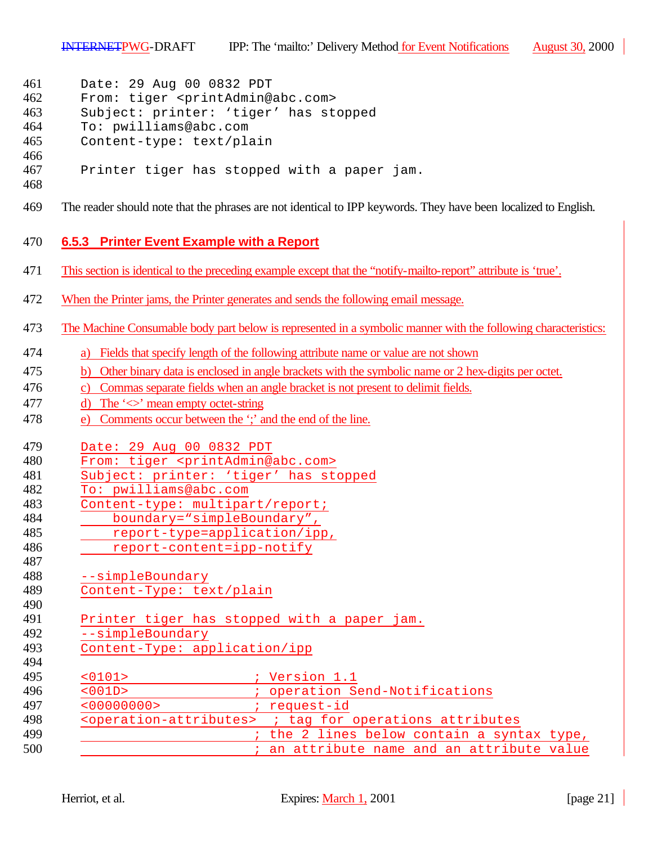| 461<br>Date: 29 Aug 00 0832 PDT |  |  |  |  |  |  |
|---------------------------------|--|--|--|--|--|--|
|---------------------------------|--|--|--|--|--|--|

- From: tiger <printAdmin@abc.com>
- Subject: printer: 'tiger' has stopped
- To: pwilliams@abc.com
- Content-type: text/plain
- Printer tiger has stopped with a paper jam.
- 
- The reader should note that the phrases are not identical to IPP keywords. They have been localized to English.

#### **6.5.3 Printer Event Example with a Report**

- This section is identical to the preceding example except that the "notify-mailto-report" attribute is 'true'.
- When the Printer jams, the Printer generates and sends the following email message.
- The Machine Consumable body part below is represented in a symbolic manner with the following characteristics:
- a) Fields that specify length of the following attribute name or value are not shown
- b) Other binary data is enclosed in angle brackets with the symbolic name or 2 hex-digits per octet.
- c) Commas separate fields when an angle bracket is not present to delimit fields.
- 477 d) The  $\leq$  mean empty octet-string
- e) Comments occur between the ';' and the end of the line.
- Date: 29 Aug 00 0832 PDT
- From: tiger <printAdmin@abc.com>
- Subject: printer: 'tiger' has stopped
- To: pwilliams@abc.com
- Content-type: multipart/report;
- boundary="simpleBoundary",
- report-type=application/ipp,
- report-content=ipp-notify
- --simpleBoundary
- Content-Type: text/plain
- Printer tiger has stopped with a paper jam.
- --simpleBoundary
- Content-Type: application/ipp
- <0101> ; Version 1.1 <001D> ; operation Send-Notifications
- 
- <00000000> ; request-id <operation-attributes> ; tag for operations attributes
- **199** and the 2 lines below contain a syntax type,
- **600 i** an attribute name and an attribute value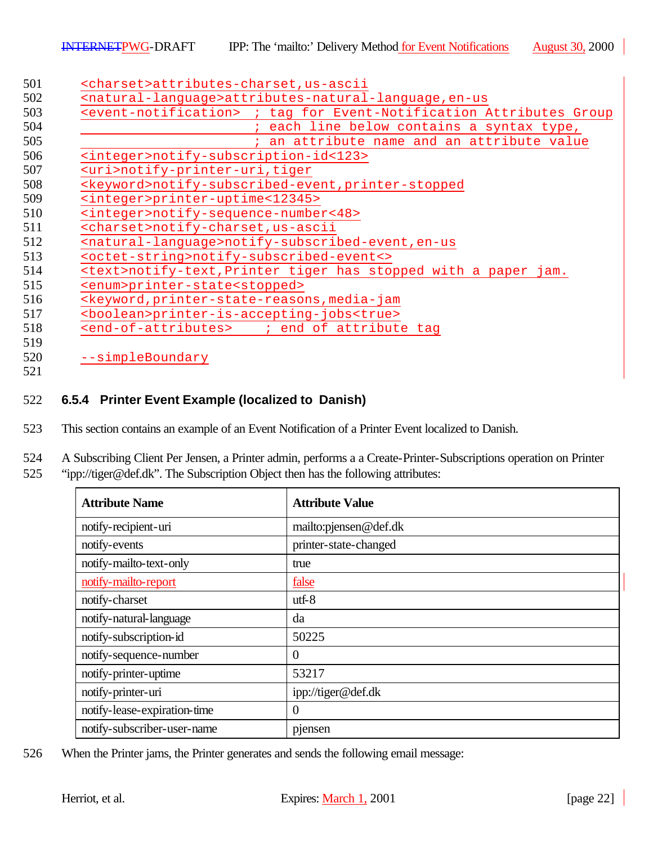| <event-notification> ; tag for Event-Notification Attributes Group</event-notification> |
|-----------------------------------------------------------------------------------------|
| each line below contains a syntax type,                                                 |
| an attribute name and an attribute value                                                |
| <integer>notify-subscription-id&lt;123&gt;</integer>                                    |
| <uri>notify-printer-uri, tiger</uri>                                                    |
| <keyword>notify-subscribed-event, printer-stopped</keyword>                             |
| <integer>printer-uptime&lt;12345&gt;</integer>                                          |
| <integer>notify-sequence-number&lt;48&gt;</integer>                                     |
| <charset>notify-charset,us-ascii</charset>                                              |
| <natural-language>notify-subscribed-event, en-us</natural-language>                     |
| <octet-string>notify-subscribed-event&lt;&gt;</octet-string>                            |
| <text>notify-text, Printer tiger has stopped with a paper jam.</text>                   |
| <enum>printer-state<stopped></stopped></enum>                                           |
| <keyword, media-jam<="" printer-state-reasons,="" td=""></keyword,>                     |
| <boolean>printer-is-accepting-jobs<true></true></boolean>                               |
| <end-of-attributes> ; end of attribute tag</end-of-attributes>                          |

### **6.5.4 Printer Event Example (localized to Danish)**

- This section contains an example of an Event Notification of a Printer Event localized to Danish.
- A Subscribing Client Per Jensen, a Printer admin, performs a a Create-Printer-Subscriptions operation on Printer "ipp://tiger@def.dk". The Subscription Object then has the following attributes:

| <b>Attribute Name</b>        | <b>Attribute Value</b> |
|------------------------------|------------------------|
| notify-recipient-uri         | mailto:pjensen@def.dk  |
| notify-events                | printer-state-changed  |
| notify-mailto-text-only      | true                   |
| notify-mailto-report         | false                  |
| notify-charset               | $utf-8$                |
| notify-natural-language      | da                     |
| notify-subscription-id       | 50225                  |
| notify-sequence-number       | $\overline{0}$         |
| notify-printer-uptime        | 53217                  |
| notify-printer-uri           | ipp://tiger@def.dk     |
| notify-lease-expiration-time | $\overline{0}$         |
| notify-subscriber-user-name  | pjensen                |

When the Printer jams, the Printer generates and sends the following email message: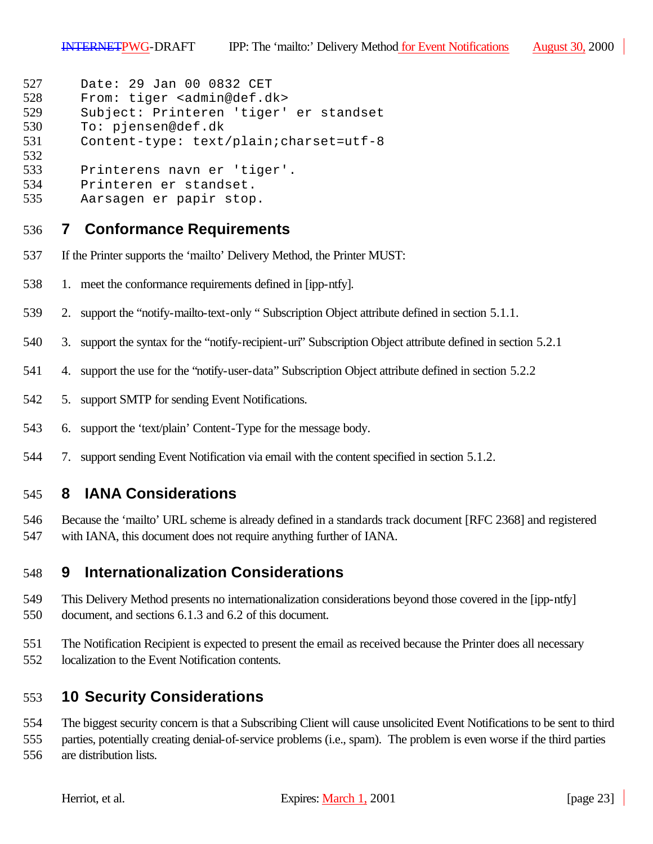```
527 Date: 29 Jan 00 0832 CET
```

```
528 From: tiger <admin@def.dk><br>529 Subject: Printeren 'tiger'
```

```
Subject: Printeren 'tiger' er standset
530 To: pjensen@def.dk
```

```
531 Content-type: text/plain;charset=utf-8
```

```
532
533 Printerens navn er 'tiger'.
```
- Printeren er standset.
- Aarsagen er papir stop.

# **7 Conformance Requirements**

- If the Printer supports the 'mailto' Delivery Method, the Printer MUST:
- 1. meet the conformance requirements defined in [ipp-ntfy].
- 2. support the "notify-mailto-text-only " Subscription Object attribute defined in section 5.1.1.
- 3. support the syntax for the "notify-recipient-uri" Subscription Object attribute defined in section 5.2.1
- 4. support the use for the "notify-user-data" Subscription Object attribute defined in section 5.2.2
- 5. support SMTP for sending Event Notifications.
- 6. support the 'text/plain' Content-Type for the message body.
- 7. support sending Event Notification via email with the content specified in section 5.1.2.

# **8 IANA Considerations**

 Because the 'mailto' URL scheme is already defined in a standards track document [RFC 2368] and registered with IANA, this document does not require anything further of IANA.

# **9 Internationalization Considerations**

- This Delivery Method presents no internationalization considerations beyond those covered in the [ipp-ntfy] document, and sections 6.1.3 and 6.2 of this document.
- The Notification Recipient is expected to present the email as received because the Printer does all necessary localization to the Event Notification contents.

# **10 Security Considerations**

The biggest security concern is that a Subscribing Client will cause unsolicited Event Notifications to be sent to third

parties, potentially creating denial-of-service problems (i.e., spam). The problem is even worse if the third parties

are distribution lists.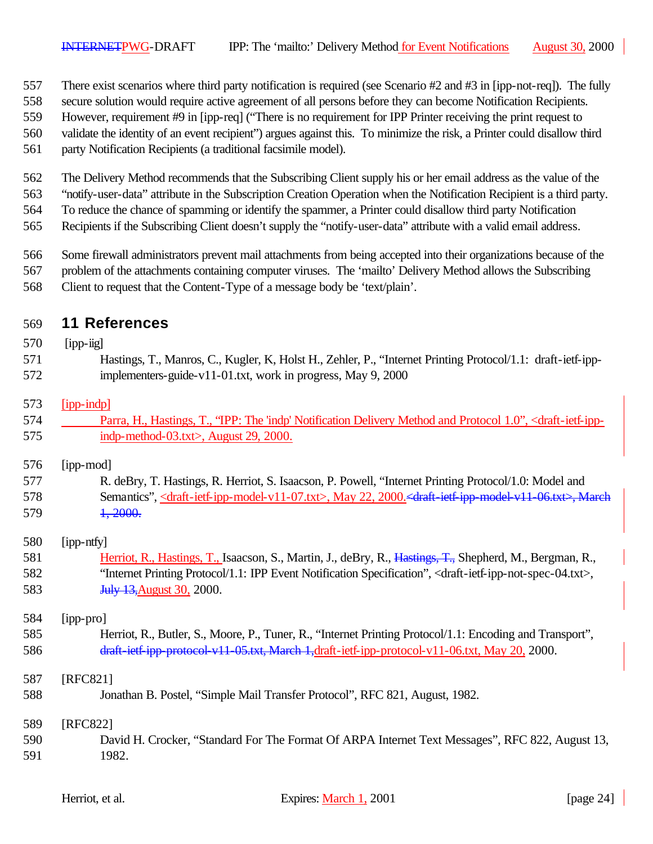- There exist scenarios where third party notification is required (see Scenario #2 and #3 in [ipp-not-req]). The fully
- secure solution would require active agreement of all persons before they can become Notification Recipients.
- However, requirement #9 in [ipp-req] ("There is no requirement for IPP Printer receiving the print request to
- validate the identity of an event recipient") argues against this. To minimize the risk, a Printer could disallow third
- party Notification Recipients (a traditional facsimile model).
- The Delivery Method recommends that the Subscribing Client supply his or her email address as the value of the
- "notify-user-data" attribute in the Subscription Creation Operation when the Notification Recipient is a third party.
- To reduce the chance of spamming or identify the spammer, a Printer could disallow third party Notification
- Recipients if the Subscribing Client doesn't supply the "notify-user-data" attribute with a valid email address.
- Some firewall administrators prevent mail attachments from being accepted into their organizations because of the
- problem of the attachments containing computer viruses. The 'mailto' Delivery Method allows the Subscribing
- Client to request that the Content-Type of a message body be 'text/plain'.

# **11 References**

# [ipp-iig] Hastings, T., Manros, C., Kugler, K, Holst H., Zehler, P., "Internet Printing Protocol/1.1: draft-ietf-ipp- implementers-guide-v11-01.txt, work in progress, May 9, 2000 [ipp-indp] Parra, H., Hastings, T., "IPP: The 'indp' Notification Delivery Method and Protocol 1.0", <draft-ietf-ipp- indp-method-03.txt>, August 29, 2000. [ipp-mod] R. deBry, T. Hastings, R. Herriot, S. Isaacson, P. Powell, "Internet Printing Protocol/1.0: Model and 578 Semantics", <draft-ietf-ipp-model-v11-07.txt>, May 22, 2000. <draft-ietf-ipp-model-v11-06.txt>, March **1, 2000.**  [ipp-ntfy] 581 Herriot, R., Hastings, T., Isaacson, S., Martin, J., deBry, R., <del>Hastings, T.,</del> Shepherd, M., Bergman, R., "Internet Printing Protocol/1.1: IPP Event Notification Specification", <draft-ietf-ipp-not-spec-04.txt>, **July 13, August 30, 2000.**  [ipp-pro] Herriot, R., Butler, S., Moore, P., Tuner, R., "Internet Printing Protocol/1.1: Encoding and Transport", 586 draft-ietf-ipp-protocol-v11-05.txt, March 1,draft-ietf-ipp-protocol-v11-06.txt, May 20, 2000. [RFC821] Jonathan B. Postel, "Simple Mail Transfer Protocol", RFC 821, August, 1982. [RFC822] David H. Crocker, "Standard For The Format Of ARPA Internet Text Messages", RFC 822, August 13, 1982.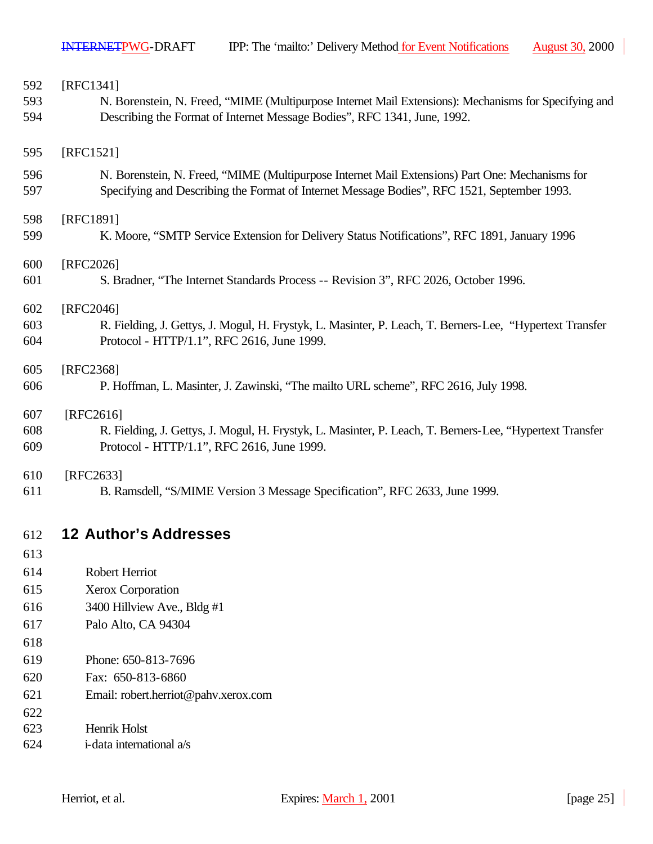| 592 | [RFC1341]                                                                                                |
|-----|----------------------------------------------------------------------------------------------------------|
| 593 | N. Borenstein, N. Freed, "MIME (Multipurpose Internet Mail Extensions): Mechanisms for Specifying and    |
| 594 | Describing the Format of Internet Message Bodies", RFC 1341, June, 1992.                                 |
|     |                                                                                                          |
| 595 | [RFC1521]                                                                                                |
| 596 | N. Borenstein, N. Freed, "MIME (Multipurpose Internet Mail Extensions) Part One: Mechanisms for          |
| 597 | Specifying and Describing the Format of Internet Message Bodies", RFC 1521, September 1993.              |
| 598 | [RFC1891]                                                                                                |
| 599 | K. Moore, "SMTP Service Extension for Delivery Status Notifications", RFC 1891, January 1996             |
|     |                                                                                                          |
| 600 | [RFC2026]                                                                                                |
| 601 | S. Bradner, "The Internet Standards Process -- Revision 3", RFC 2026, October 1996.                      |
| 602 | [RFC2046]                                                                                                |
| 603 | R. Fielding, J. Gettys, J. Mogul, H. Frystyk, L. Masinter, P. Leach, T. Berners-Lee, "Hypertext Transfer |
| 604 | Protocol - HTTP/1.1", RFC 2616, June 1999.                                                               |
| 605 | [RFC2368]                                                                                                |
| 606 | P. Hoffman, L. Masinter, J. Zawinski, "The mailto URL scheme", RFC 2616, July 1998.                      |
| 607 | $[RFC2616]$                                                                                              |
| 608 | R. Fielding, J. Gettys, J. Mogul, H. Frystyk, L. Masinter, P. Leach, T. Berners-Lee, "Hypertext Transfer |
| 609 | Protocol - HTTP/1.1", RFC 2616, June 1999.                                                               |
| 610 | [RFC2633]                                                                                                |
| 611 | B. Ramsdell, "S/MIME Version 3 Message Specification", RFC 2633, June 1999.                              |
|     |                                                                                                          |
| 612 | <b>12 Author's Addresses</b>                                                                             |
| 613 |                                                                                                          |
| 614 | Robert Herriot                                                                                           |
| 615 | Xerox Corporation                                                                                        |
| 616 | 3400 Hillview Ave., Bldg #1                                                                              |
| 617 | Palo Alto, CA 94304                                                                                      |

- 
- Phone: 650-813-7696
- Fax: 650-813-6860
- Email: robert.herriot@pahv.xerox.com
- Henrik Holst
- 
- i-data international a/s